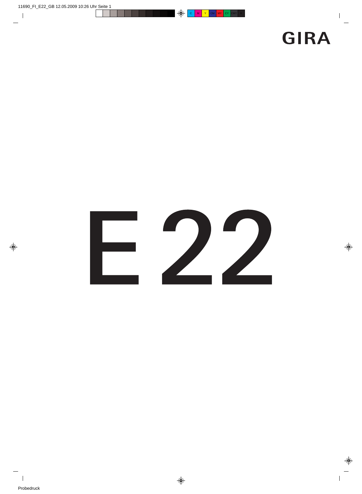## **GIRA**

# 22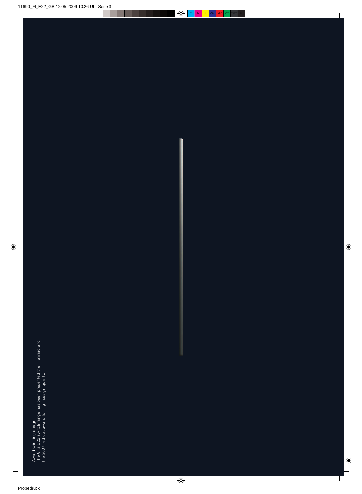Award-winning design:<br>The Gira E22 switch range has been presented the iF award and<br>the 2007 red dot award for high design quality. The Gira E22 switch range has been presented the iF award and the 2007 red dot award for high design quality.Award-winning design: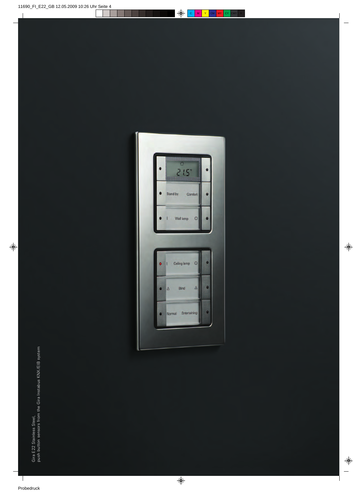

Gira E22 Stainless Steel,<br>push button sensors from the Gira Instabus KNX/EIB system push button sensors from the Gira Instabus KNX/EIB systemGira E 22 Stainless Steel,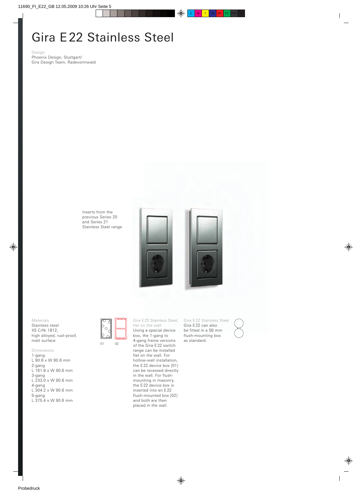#### Gira E 22 Stainless Steel

Design Phoenix Design, Stuttgart/ Gira Design Team, Radevormwald

> Inserts from the previous Series 20 and Series 21 Stainless Steel range



Materials Stainless steel X5 CrNi 1812, high alloyed, rust-proof, matt surface

#### Dimensions

1-gang L 90.6 x W 90.6 mm 2-gang L 161.8 x W 90.6 mm 3-gang L 233.0 x W 90.6 mm 4-gang L 304.2 x W 90.6 mm 5-gang L 375.4 x W 90.6 mm 01 02

flat on the wall Using a special device box, the 1-gang to 4-gang frame versions of the Gira E 22 switch range can be installed flat on the wall. For hollow-wall installation, the E 22 device box [01] can be recessed directly in the wall. For flushmounting in masonry, the E 22 device box is inserted into an E 22 flush-mounted box [02] and both are then placed in the wall.

Gira E22 Stainless Steel,

Gira E 22 Stainless Steel Gira E 22 can also be fitted in a 58 mm flush-mounting box as standard.

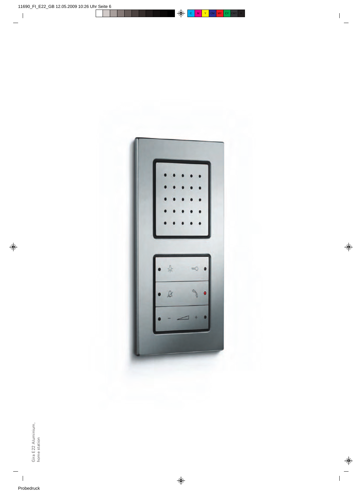

Gira E22 Aluminium,<br>home station Gira E 22 Aluminium, home station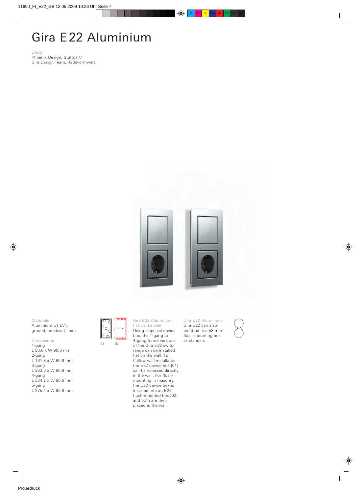#### Gira E 22 Aluminium

Design Phoenix Design, Stuttgart/ Gira Design Team, Radevormwald



Materials Aluminium E1 EV1, ground, anodised, matt

Dimensions 1-gang L 90.6 x W 90.6 mm 2-gang L 161.8 x W 90.6 mm 3-gang L 233.0 x W 90.6 mm 4-gang L 304.2 x W 90.6 mm 5-gang

L 375.4 x W 90.6 mm

01 02

Gira E 22 Aluminium, flat on the wall Using a special device box, the 1-gang to 4-gang frame versions of the Gira E 22 switch range can be installed flat on the wall. For hollow-wall installation, the E22 device box [01] can be recessed directly in the wall. For flushmounting in masonry, the E 22 device box is inserted into an E 22 flush-mounted box [02] and both are then placed in the wall.

Gira E 22 Aluminium Gira E 22 can also be fitted in a 58 mm flush-mounting box as standard.

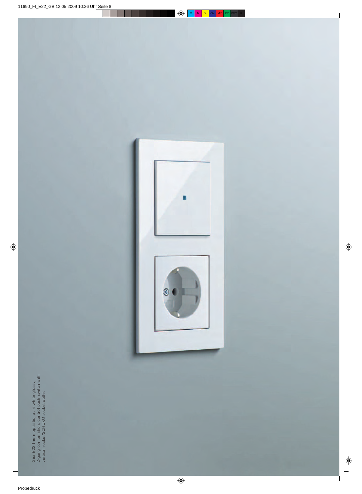Gira E22 Thermoplastic, pure white glossy,<br>2-gang combination, control push switch with<br>vertical rocker/SCHUKO socket outlet 2-gang combination, control push switch with Gira E 22 Thermoplastic, pure white glossy, vertical rocker/SCHUKO socket outlet

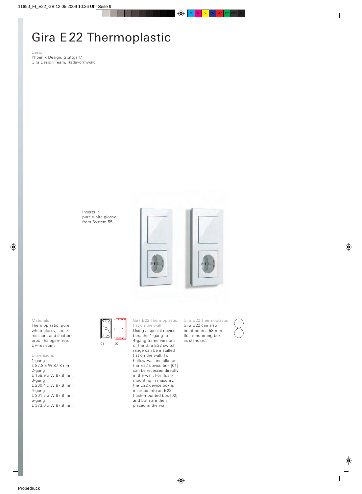## Gira E 22 Thermoplastic

Design Phoenix Design, Stuttgart/ Gira Design Team, Radevormwald

> Inserts in pure white glossy from System 55



Materials

Thermoplastic, pure white glossy, shockresistant and shatterproof, halogen-free, UV-resistant

#### Dimensions

1-gang L 87.8 x W 87.8 mm 2-gang L 158.9 x W 87.8 mm 3-gang L 230.4 x W 87.8 mm 4-gang L 301.7 x W 87.8 mm 5-gang L 373.0 x W 87.8 mm



Gira E22 Thermoplastic, flat on the wall Using a special device box, the 1-gang to 4-gang frame versions of the Gira E 22 switch range can be installed flat on the wall. For hollow-wall installation, the E 22 device box [01] can be recessed directly in the wall. For flushmounting in masonry, the E 22 device box is inserted into an E 22 flush-mounted box [02] and both are then placed in the wall.

Gira E 22 Thermoplastic Gira E 22 can also be fitted in a 58 mm flush-mounting box as standard.

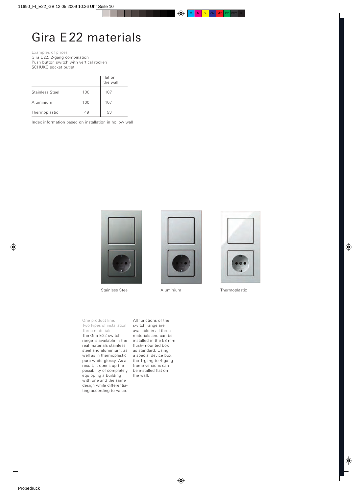#### Gira E 22 materials

Examples of prices Gira E 22, 2-gang combination

Push button switch with vertical rocker/ SCHUKO socket outlet

|                 |     | flat on<br>the wall |
|-----------------|-----|---------------------|
| Stainless Steel | 100 | 107                 |
| Aluminium       | 100 | 107                 |
| Thermoplastic   | 49  | 53                  |

Index information based on installation in hollow wall



Stainless Steel **Aluminium** Thermoplastic





One product line. Two types of installation. Three materials. The Gira E 22 switch range is available in the real materials stainless steel and aluminium, as well as in thermoplastic, pure white glossy. As a result, it opens up the possibility of completely equipping a building with one and the same design while differentiating according to value.

All functions of the switch range are available in all three materials and can be installed in the 58 mm flush-mounted box as standard. Using a special device box, the 1-gang to 4-gang frame versions can be installed flat on the wall.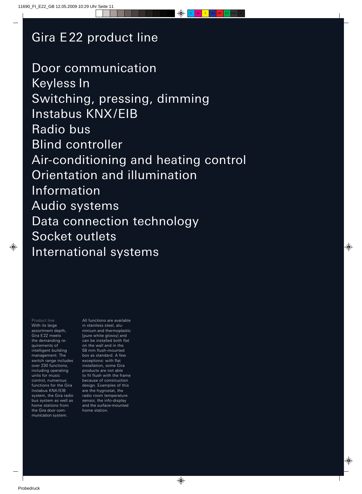#### Gira E 22 product line

Door communication Keyless In Switching, pressing, dimming Instabus KNX/EIB Radio bus Blind controller Air-conditioning and heating control Orientation and illumination Information Audio systems Data connection technology Socket outlets International systems

Product line With its large assortment depth, Gira E 22 meets the demanding requirements of intelligent building management. The switch range includes over 230 functions, including operating units for music control, numerous functions for the Gira Instabus KNX/EIB system, the Gira radio bus system as well as home stations from the Gira door communication system.

All functions are available in stainless steel, aluminium and thermoplastic [pure white glossy] and can be installed both flat on the wall and in the 58 mm flush-mounted box as standard. A few exceptions: with flat installation, some Gira products are not able to fit flush with the frame because of construction design. Examples of this are the hygrostat, the radio room temperature sensor, the info-display and the surface-mounted home station.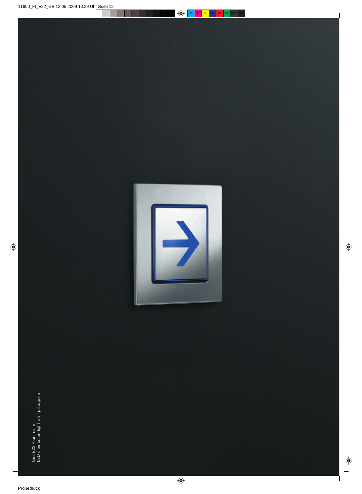

Gira E22 Aluminium,<br>LED orientation light with pictogram LED orientation light with pictogramGira E 22 Aluminium,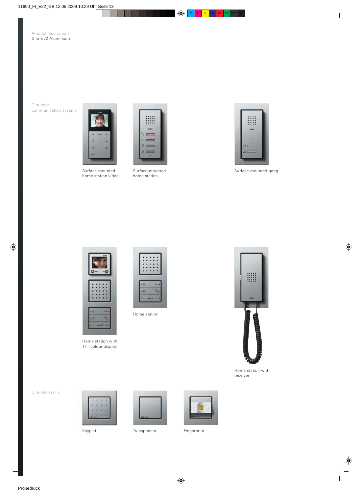Gira door communication system



Surface-mounted home station video



Surface-mounted home station



Surface-mounted gong



Home station with TFT colour display



Home station



Home station with receiver

Gira Keyless In



Keypad Transponder Fingerprint

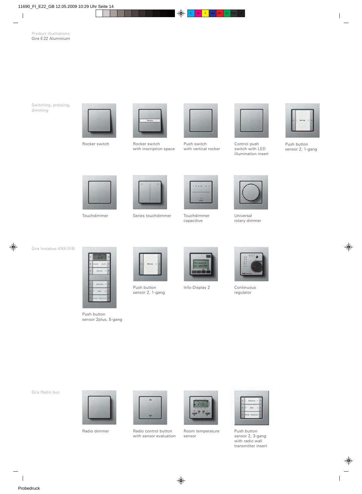Switching, pressing, dimming





Rocker switch Rocker switch with inscription space



Push switch with vertical rocker



Control push switch with LED illumination insert



Push button sensor 2, 1-gang





Touchdimmer Universal Series touchdimmer Touchdimmer



capacitive



rotary dimmer

Gira Instabus KNX/EIB



Push button sensor 2plus, 5-gang



Push button sensor 2, 1-gang



Info-Display 2 Continuous



regulator

Gira Radio bus





Radio dimmer **Radio control button** Room temperature **Push button** with sensor evaluation



Room temperature sensor



sensor 2, 3-gang with radio wall transmitter insert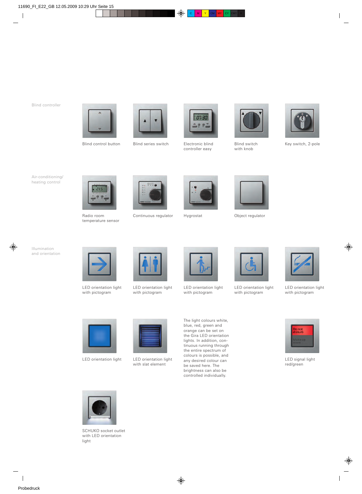#### Blind controller



Blind control button Blind series switch Electronic blind Blind switch





Electronic blind controller easy



with knob



Key switch, 2-pole

Air-conditioning/ heating control



temperature sensor



Radio room Continuous regulator Hygrostat Chiect regulator Object regulator





Illumination and orientation



LED orientation light with pictogram



LED orientation light with pictogram



LED orientation light with pictogram



LED orientation light with pictogram



LED orientation light with pictogram



LED signal light red/green





LED orientation light with slat element

The light colours white, blue, red, green and orange can be set on the Gira LED orientation lights. In addition, continuous running through the entire spectrum of colours is possible, and any desired colour can be saved here. The brightness can also be controlled individually.



SCHUKO socket outlet with LED orientation light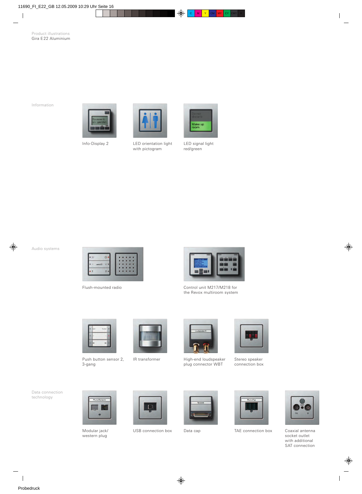Information





Info-Display 2 LED orientation light with pictogram



LED signal light red/green

Audio systems



Flush-mounted radio



Control unit M217/M218 for the Revox multiroom system



Push button sensor 2, 3-gang



IR transformer



High-end loudspeaker plug connector WBT



Stereo speaker connection box





Modular jack/ western plug







USB connection box Data cap TAE connection box Coaxial antenna



socket outlet with additional SAT connection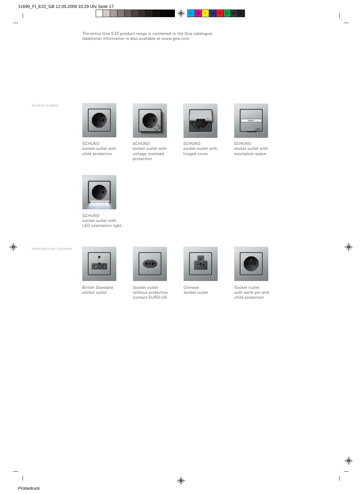Socket outlets



SCHUKO socket outlet with child protection



SCHUKO socket outlet with voltage overload protection



SCHUKO socket outlet with hinged cover



SCHUKO socket outlet with inscription space



SCHUKO socket outlet with LED orientation light

International systems



British Standard socket outlet



Socket outlet without protective contact EURO-US



Chinese socket outlet



Socket outlet with earth pin and child protection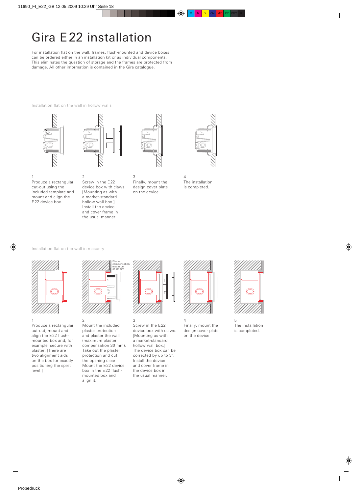### Gira E 22 installation

For installation flat on the wall, frames, flush-mounted and device boxes can be ordered either in an installation kit or as individual components. This eliminates the question of storage and the frames are protected from damage. All other information is contained in the Gira catalogue.

Installation flat on the wall in hollow walls



Produce a rectangular cut-out using the included template and mount and align the E 22 device box.

1



Screw in the E 22 device box with claws. [Mounting as with a market-standard hollow wall box.] Install the device and cover frame in the usual manner.

2



3 Finally, mount the design cover plate on the device.



4 The installation is completed.

Installation flat on the wall in masonry



1 Produce a rectangular cut-out, mount and align the E 22 flushmounted box and, for example, secure with plaster. [There are two alignment aids on the box for exactly positioning the spirit level.]







Screw in the E 22 device box with claws. [Mounting as with a market-standard hollow wall box.] The device box can be corrected by up to 3°. Install the device and cover frame in the device box in the usual manner.



4 Finally, mount the design cover plate on the device.



5 The installation is completed.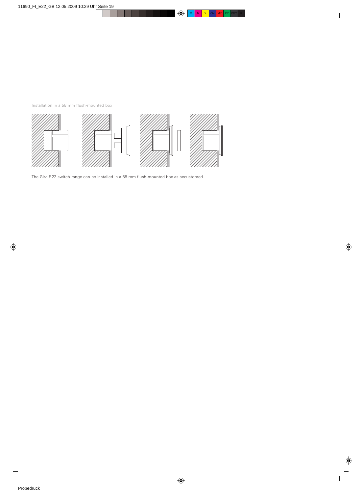Installation in a 58 mm flush-mounted box



The Gira E 22 switch range can be installed in a 58 mm flush-mounted box as accustomed.